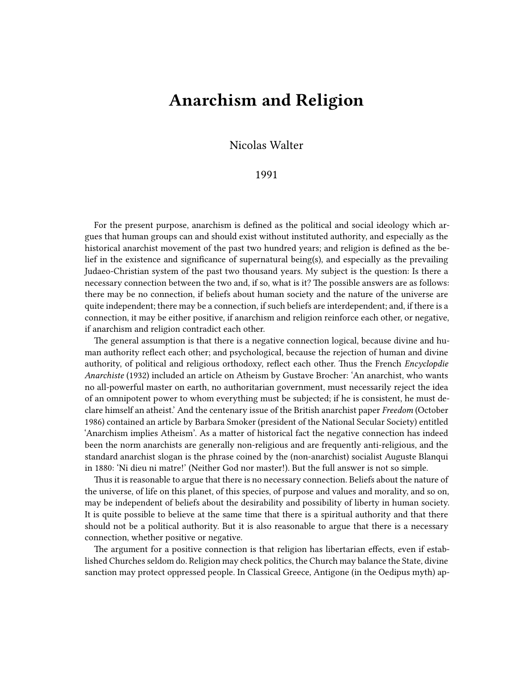## **Anarchism and Religion**

Nicolas Walter

## 1991

For the present purpose, anarchism is defined as the political and social ideology which argues that human groups can and should exist without instituted authority, and especially as the historical anarchist movement of the past two hundred years; and religion is defined as the belief in the existence and significance of supernatural being(s), and especially as the prevailing Judaeo-Christian system of the past two thousand years. My subject is the question: Is there a necessary connection between the two and, if so, what is it? The possible answers are as follows: there may be no connection, if beliefs about human society and the nature of the universe are quite independent; there may be a connection, if such beliefs are interdependent; and, if there is a connection, it may be either positive, if anarchism and religion reinforce each other, or negative, if anarchism and religion contradict each other.

The general assumption is that there is a negative connection logical, because divine and human authority reflect each other; and psychological, because the rejection of human and divine authority, of political and religious orthodoxy, reflect each other. Thus the French *Encyclopdie Anarchiste* (1932) included an article on Atheism by Gustave Brocher: 'An anarchist, who wants no all-powerful master on earth, no authoritarian government, must necessarily reject the idea of an omnipotent power to whom everything must be subjected; if he is consistent, he must declare himself an atheist.' And the centenary issue of the British anarchist paper *Freedom* (October 1986) contained an article by Barbara Smoker (president of the National Secular Society) entitled 'Anarchism implies Atheism'. As a matter of historical fact the negative connection has indeed been the norm anarchists are generally non-religious and are frequently anti-religious, and the standard anarchist slogan is the phrase coined by the (non-anarchist) socialist Auguste Blanqui in 1880: 'Ni dieu ni matre!' (Neither God nor master!). But the full answer is not so simple.

Thus it is reasonable to argue that there is no necessary connection. Beliefs about the nature of the universe, of life on this planet, of this species, of purpose and values and morality, and so on, may be independent of beliefs about the desirability and possibility of liberty in human society. It is quite possible to believe at the same time that there is a spiritual authority and that there should not be a political authority. But it is also reasonable to argue that there is a necessary connection, whether positive or negative.

The argument for a positive connection is that religion has libertarian effects, even if established Churches seldom do. Religion may check politics, the Church may balance the State, divine sanction may protect oppressed people. In Classical Greece, Antigone (in the Oedipus myth) ap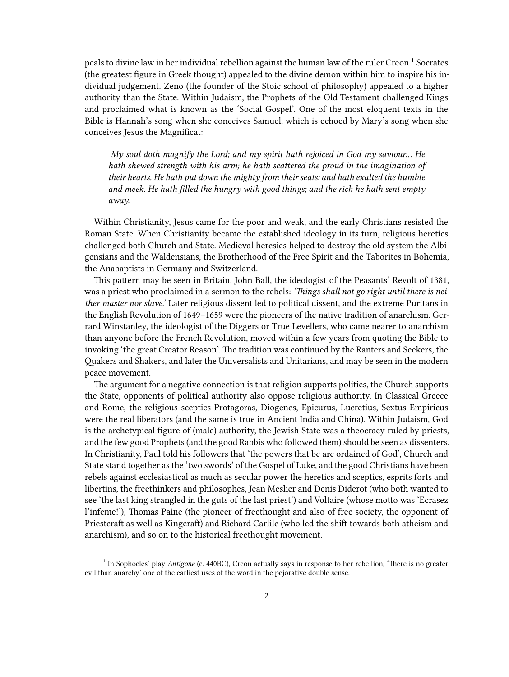peals to divine law in her individual rebellion against the human law of the ruler Creon.<sup>1</sup> Socrates (the greatest figure in Greek thought) appealed to the divine demon within him to inspire his individual judgement. Zeno (the founder of the Stoic school of philosophy) appealed to a higher authority than the State. Within Judaism, the Prophets of the Old Testament challenged Kings and proclaimed what is known as the 'Social Gospel'. One of the most eloquent texts in the Bible is Hannah's song when she conceives Samuel, which is echoed by Mary's song when she conceives Jesus the Magnificat:

*My soul doth magnify the Lord; and my spirit hath rejoiced in God my saviour… He hath shewed strength with his arm; he hath scattered the proud in the imagination of their hearts. He hath put down the mighty from their seats; and hath exalted the humble and meek. He hath filled the hungry with good things; and the rich he hath sent empty away.*

Within Christianity, Jesus came for the poor and weak, and the early Christians resisted the Roman State. When Christianity became the established ideology in its turn, religious heretics challenged both Church and State. Medieval heresies helped to destroy the old system the Albigensians and the Waldensians, the Brotherhood of the Free Spirit and the Taborites in Bohemia, the Anabaptists in Germany and Switzerland.

This pattern may be seen in Britain. John Ball, the ideologist of the Peasants' Revolt of 1381, was a priest who proclaimed in a sermon to the rebels: *'Things shall not go right until there is neither master nor slave.'* Later religious dissent led to political dissent, and the extreme Puritans in the English Revolution of 1649–1659 were the pioneers of the native tradition of anarchism. Gerrard Winstanley, the ideologist of the Diggers or True Levellers, who came nearer to anarchism than anyone before the French Revolution, moved within a few years from quoting the Bible to invoking 'the great Creator Reason'. The tradition was continued by the Ranters and Seekers, the Quakers and Shakers, and later the Universalists and Unitarians, and may be seen in the modern peace movement.

The argument for a negative connection is that religion supports politics, the Church supports the State, opponents of political authority also oppose religious authority. In Classical Greece and Rome, the religious sceptics Protagoras, Diogenes, Epicurus, Lucretius, Sextus Empiricus were the real liberators (and the same is true in Ancient India and China). Within Judaism, God is the archetypical figure of (male) authority, the Jewish State was a theocracy ruled by priests, and the few good Prophets (and the good Rabbis who followed them) should be seen as dissenters. In Christianity, Paul told his followers that 'the powers that be are ordained of God', Church and State stand together as the 'two swords' of the Gospel of Luke, and the good Christians have been rebels against ecclesiastical as much as secular power the heretics and sceptics, esprits forts and libertins, the freethinkers and philosophes, Jean Meslier and Denis Diderot (who both wanted to see 'the last king strangled in the guts of the last priest') and Voltaire (whose motto was 'Ecrasez l'infeme!'), Thomas Paine (the pioneer of freethought and also of free society, the opponent of Priestcraft as well as Kingcraft) and Richard Carlile (who led the shift towards both atheism and anarchism), and so on to the historical freethought movement.

<sup>&</sup>lt;sup>1</sup> In Sophocles' play *Antigone* (c. 440BC), Creon actually says in response to her rebellion, 'There is no greater evil than anarchy' one of the earliest uses of the word in the pejorative double sense.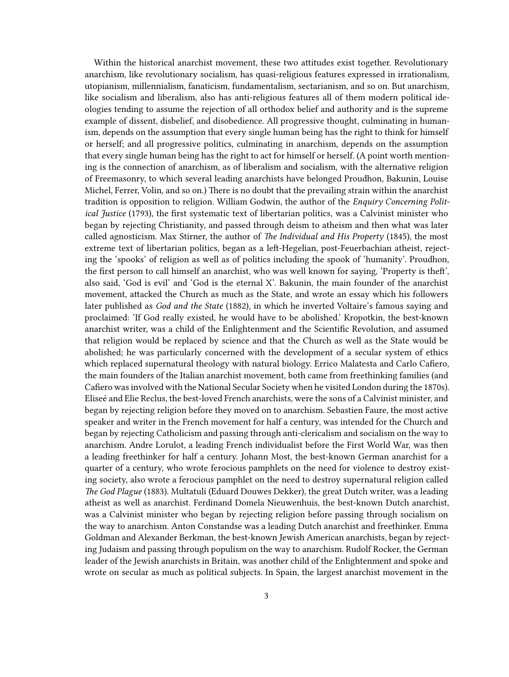Within the historical anarchist movement, these two attitudes exist together. Revolutionary anarchism, like revolutionary socialism, has quasi-religious features expressed in irrationalism, utopianism, millennialism, fanaticism, fundamentalism, sectarianism, and so on. But anarchism, like socialism and liberalism, also has anti-religious features all of them modern political ideologies tending to assume the rejection of all orthodox belief and authority and is the supreme example of dissent, disbelief, and disobedience. All progressive thought, culminating in humanism, depends on the assumption that every single human being has the right to think for himself or herself; and all progressive politics, culminating in anarchism, depends on the assumption that every single human being has the right to act for himself or herself. (A point worth mentioning is the connection of anarchism, as of liberalism and socialism, with the alternative religion of Freemasonry, to which several leading anarchists have belonged Proudhon, Bakunin, Louise Michel, Ferrer, Volin, and so on.) There is no doubt that the prevailing strain within the anarchist tradition is opposition to religion. William Godwin, the author of the *Enquiry Concerning Political Justice* (1793), the first systematic text of libertarian politics, was a Calvinist minister who began by rejecting Christianity, and passed through deism to atheism and then what was later called agnosticism. Max Stirner, the author of *The Individual and His Property* (1845), the most extreme text of libertarian politics, began as a left-Hegelian, post-Feuerbachian atheist, rejecting the 'spooks' of religion as well as of politics including the spook of 'humanity'. Proudhon, the first person to call himself an anarchist, who was well known for saying, 'Property is theft', also said, 'God is evil' and 'God is the eternal X'. Bakunin, the main founder of the anarchist movement, attacked the Church as much as the State, and wrote an essay which his followers later published as *God and the State* (1882), in which he inverted Voltaire's famous saying and proclaimed: 'If God really existed, he would have to be abolished.' Kropotkin, the best-known anarchist writer, was a child of the Enlightenment and the Scientific Revolution, and assumed that religion would be replaced by science and that the Church as well as the State would be abolished; he was particularly concerned with the development of a secular system of ethics which replaced supernatural theology with natural biology. Errico Malatesta and Carlo Cafiero, the main founders of the Italian anarchist movement, both came from freethinking families (and Cafiero was involved with the National Secular Society when he visited London during the 1870s). Eliseé and Elie Reclus, the best-loved French anarchists, were the sons of a Calvinist minister, and began by rejecting religion before they moved on to anarchism. Sebastien Faure, the most active speaker and writer in the French movement for half a century, was intended for the Church and began by rejecting Catholicism and passing through anti-clericalism and socialism on the way to anarchism. Andre Lorulot, a leading French individualist before the First World War, was then a leading freethinker for half a century. Johann Most, the best-known German anarchist for a quarter of a century, who wrote ferocious pamphlets on the need for violence to destroy existing society, also wrote a ferocious pamphlet on the need to destroy supernatural religion called *The God Plague* (1883). Multatuli (Eduard Douwes Dekker), the great Dutch writer, was a leading atheist as well as anarchist. Ferdinand Domela Nieuwenhuis, the best-known Dutch anarchist, was a Calvinist minister who began by rejecting religion before passing through socialism on the way to anarchism. Anton Constandse was a leading Dutch anarchist and freethinker. Emma Goldman and Alexander Berkman, the best-known Jewish American anarchists, began by rejecting Judaism and passing through populism on the way to anarchism. Rudolf Rocker, the German leader of the Jewish anarchists in Britain, was another child of the Enlightenment and spoke and wrote on secular as much as political subjects. In Spain, the largest anarchist movement in the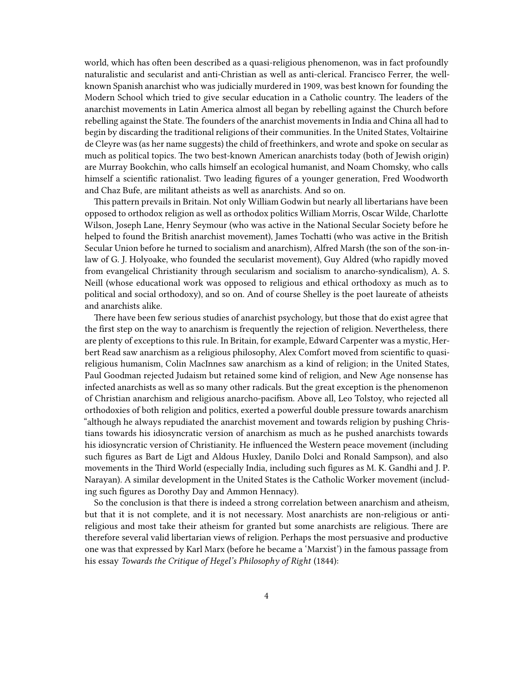world, which has often been described as a quasi-religious phenomenon, was in fact profoundly naturalistic and secularist and anti-Christian as well as anti-clerical. Francisco Ferrer, the wellknown Spanish anarchist who was judicially murdered in 1909, was best known for founding the Modern School which tried to give secular education in a Catholic country. The leaders of the anarchist movements in Latin America almost all began by rebelling against the Church before rebelling against the State. The founders of the anarchist movements in India and China all had to begin by discarding the traditional religions of their communities. In the United States, Voltairine de Cleyre was (as her name suggests) the child of freethinkers, and wrote and spoke on secular as much as political topics. The two best-known American anarchists today (both of Jewish origin) are Murray Bookchin, who calls himself an ecological humanist, and Noam Chomsky, who calls himself a scientific rationalist. Two leading figures of a younger generation, Fred Woodworth and Chaz Bufe, are militant atheists as well as anarchists. And so on.

This pattern prevails in Britain. Not only William Godwin but nearly all libertarians have been opposed to orthodox religion as well as orthodox politics William Morris, Oscar Wilde, Charlotte Wilson, Joseph Lane, Henry Seymour (who was active in the National Secular Society before he helped to found the British anarchist movement), James Tochatti (who was active in the British Secular Union before he turned to socialism and anarchism), Alfred Marsh (the son of the son-inlaw of G. J. Holyoake, who founded the secularist movement), Guy Aldred (who rapidly moved from evangelical Christianity through secularism and socialism to anarcho-syndicalism), A. S. Neill (whose educational work was opposed to religious and ethical orthodoxy as much as to political and social orthodoxy), and so on. And of course Shelley is the poet laureate of atheists and anarchists alike.

There have been few serious studies of anarchist psychology, but those that do exist agree that the first step on the way to anarchism is frequently the rejection of religion. Nevertheless, there are plenty of exceptions to this rule. In Britain, for example, Edward Carpenter was a mystic, Herbert Read saw anarchism as a religious philosophy, Alex Comfort moved from scientific to quasireligious humanism, Colin MacInnes saw anarchism as a kind of religion; in the United States, Paul Goodman rejected Judaism but retained some kind of religion, and New Age nonsense has infected anarchists as well as so many other radicals. But the great exception is the phenomenon of Christian anarchism and religious anarcho-pacifism. Above all, Leo Tolstoy, who rejected all orthodoxies of both religion and politics, exerted a powerful double pressure towards anarchism "although he always repudiated the anarchist movement and towards religion by pushing Christians towards his idiosyncratic version of anarchism as much as he pushed anarchists towards his idiosyncratic version of Christianity. He influenced the Western peace movement (including such figures as Bart de Ligt and Aldous Huxley, Danilo Dolci and Ronald Sampson), and also movements in the Third World (especially India, including such figures as M. K. Gandhi and J. P. Narayan). A similar development in the United States is the Catholic Worker movement (including such figures as Dorothy Day and Ammon Hennacy).

So the conclusion is that there is indeed a strong correlation between anarchism and atheism, but that it is not complete, and it is not necessary. Most anarchists are non-religious or antireligious and most take their atheism for granted but some anarchists are religious. There are therefore several valid libertarian views of religion. Perhaps the most persuasive and productive one was that expressed by Karl Marx (before he became a 'Marxist') in the famous passage from his essay *Towards the Critique of Hegel's Philosophy of Right* (1844):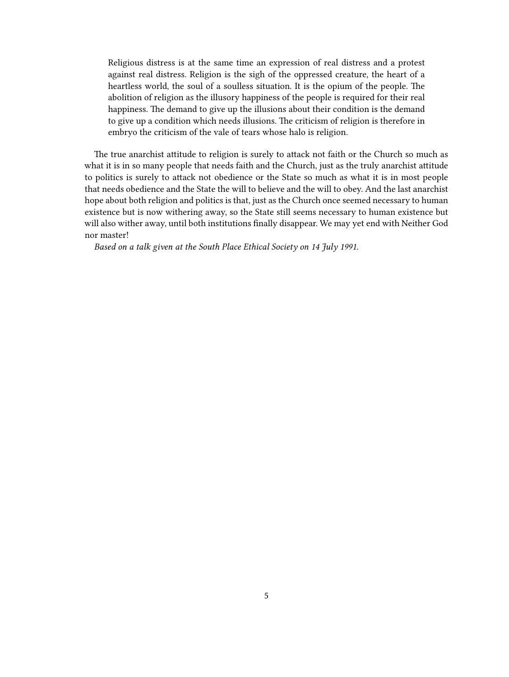Religious distress is at the same time an expression of real distress and a protest against real distress. Religion is the sigh of the oppressed creature, the heart of a heartless world, the soul of a soulless situation. It is the opium of the people. The abolition of religion as the illusory happiness of the people is required for their real happiness. The demand to give up the illusions about their condition is the demand to give up a condition which needs illusions. The criticism of religion is therefore in embryo the criticism of the vale of tears whose halo is religion.

The true anarchist attitude to religion is surely to attack not faith or the Church so much as what it is in so many people that needs faith and the Church, just as the truly anarchist attitude to politics is surely to attack not obedience or the State so much as what it is in most people that needs obedience and the State the will to believe and the will to obey. And the last anarchist hope about both religion and politics is that, just as the Church once seemed necessary to human existence but is now withering away, so the State still seems necessary to human existence but will also wither away, until both institutions finally disappear. We may yet end with Neither God nor master!

*Based on a talk given at the South Place Ethical Society on 14 July 1991.*